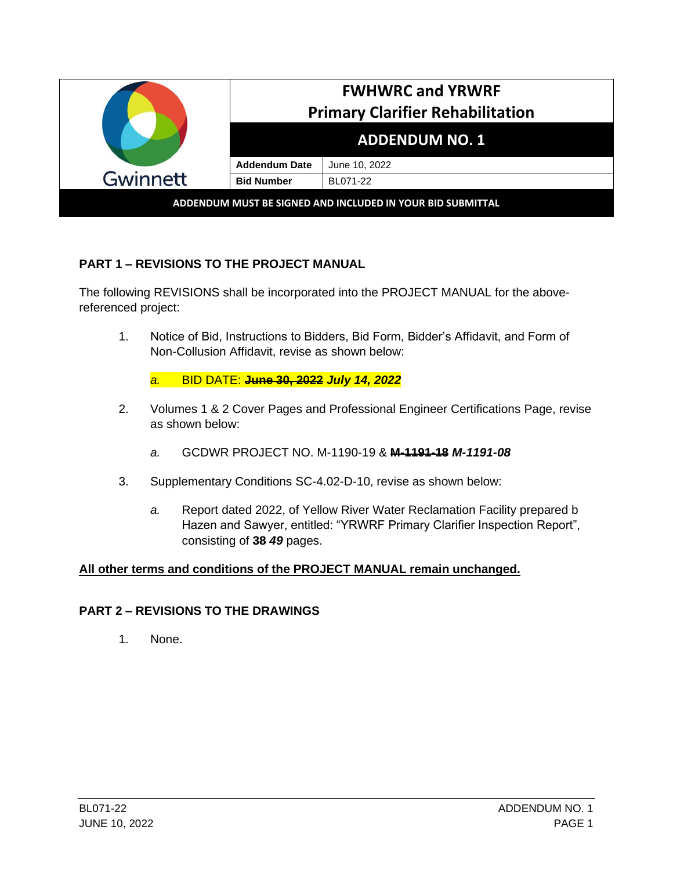

## **PART 1 – REVISIONS TO THE PROJECT MANUAL**

The following REVISIONS shall be incorporated into the PROJECT MANUAL for the abovereferenced project:

1. Notice of Bid, Instructions to Bidders, Bid Form, Bidder's Affidavit, and Form of Non-Collusion Affidavit, revise as shown below:

*a.* BID DATE: **June 30, 2022** *July 14, 2022*

- 2. Volumes 1 & 2 Cover Pages and Professional Engineer Certifications Page, revise as shown below:
	- *a.* GCDWR PROJECT NO. M-1190-19 & **M-1191-18** *M-1191-08*
- 3. Supplementary Conditions SC-4.02-D-10, revise as shown below:
	- *a.* Report dated 2022, of Yellow River Water Reclamation Facility prepared b Hazen and Sawyer, entitled: "YRWRF Primary Clarifier Inspection Report", consisting of **38** *49* pages.

### **All other terms and conditions of the PROJECT MANUAL remain unchanged.**

### **PART 2 – REVISIONS TO THE DRAWINGS**

1. None.